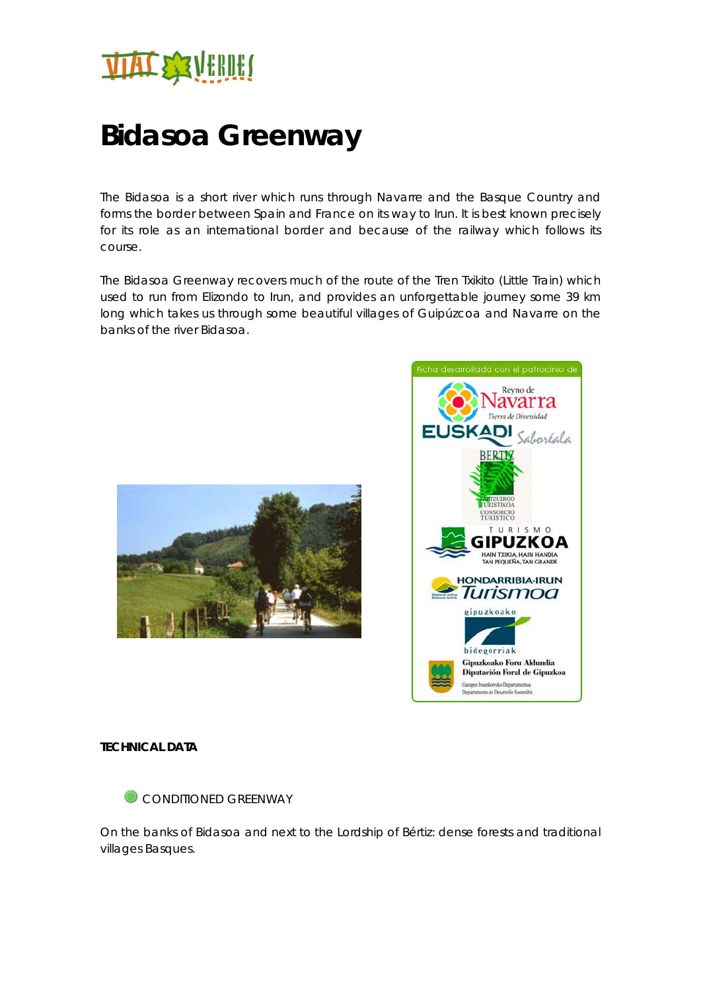

## **Bidasoa Greenway**

The Bidasoa is a short river which runs through Navarre and the Basque Country and forms the border between Spain and France on its way to Irun. It is best known precisely for its role as an international border and because of the railway which follows its course.

The Bidasoa Greenway recovers much of the route of the Tren Txikito (Little Train) which used to run from Elizondo to Irun, and provides an unforgettable journey some 39 km long which takes us through some beautiful villages of Guipúzcoa and Navarre on the banks of the river Bidasoa.





## **TECHNICAL DATA**



On the banks of Bidasoa and next to the Lordship of Bértiz: dense forests and traditional villages Basques.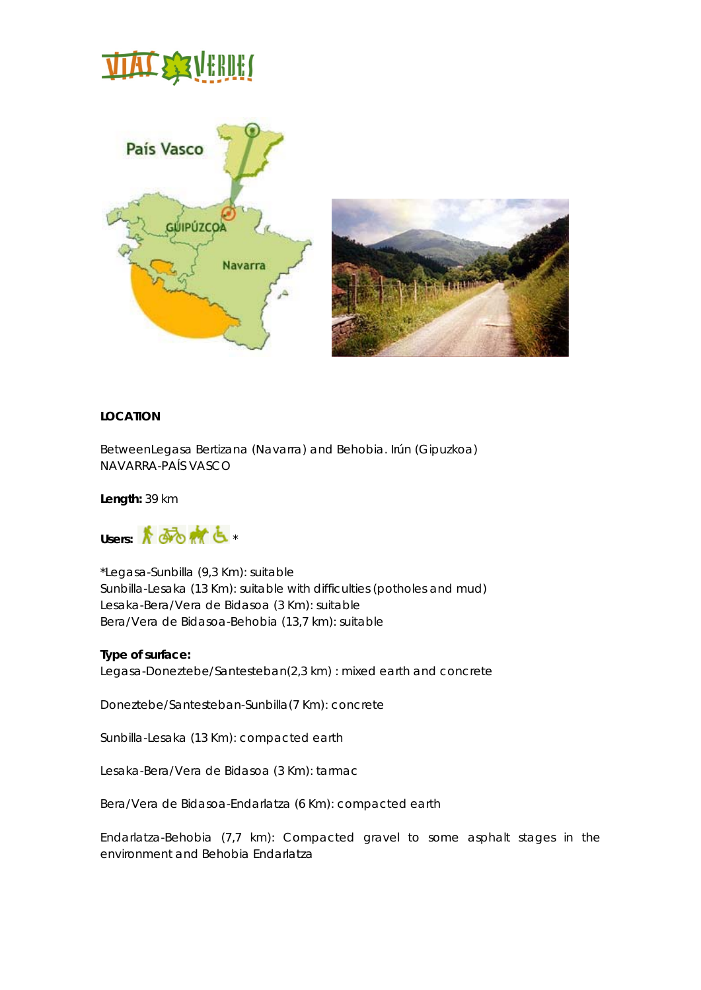# **TIAT & SA'A HAVAHI (**



## **LOCATION**

BetweenLegasa Bertizana (Navarra) and Behobia. Irún (Gipuzkoa) NAVARRA-PAÍS VASCO

**Length:** 39 km



\*Legasa-Sunbilla (9,3 Km): suitable Sunbilla-Lesaka (13 Km): suitable with difficulties (potholes and mud) Lesaka-Bera/Vera de Bidasoa (3 Km): suitable Bera/Vera de Bidasoa-Behobia (13,7 km): suitable

## **Type of surface:**

Legasa-Doneztebe/Santesteban(2,3 km) : mixed earth and concrete

Doneztebe/Santesteban-Sunbilla(7 Km): concrete

Sunbilla-Lesaka (13 Km): compacted earth

Lesaka-Bera/Vera de Bidasoa (3 Km): tarmac

Bera/Vera de Bidasoa-Endarlatza (6 Km): compacted earth

Endarlatza-Behobia (7,7 km): Compacted gravel to some asphalt stages in the environment and Behobia Endarlatza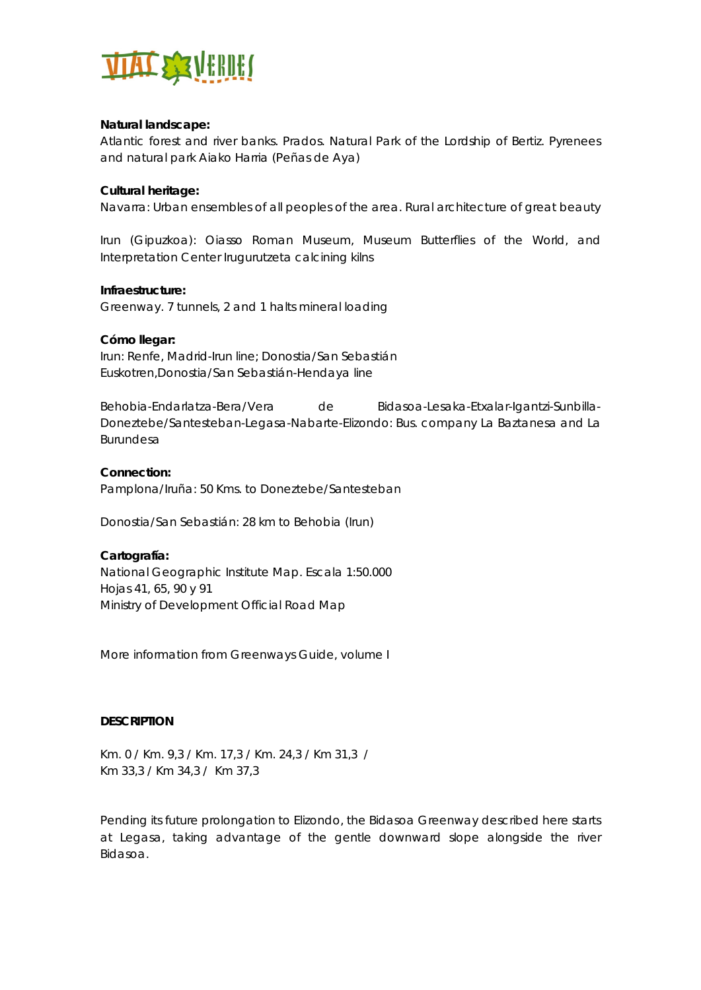

## **Natural landscape:**

Atlantic forest and river banks. Prados. Natural Park of the Lordship of Bertiz. Pyrenees and natural park Aiako Harria (Peñas de Aya)

## **Cultural heritage:**

Navarra: Urban ensembles of all peoples of the area. Rural architecture of great beauty

Irun (Gipuzkoa): Oiasso Roman Museum, Museum Butterflies of the World, and Interpretation Center Irugurutzeta calcining kilns

## **Infraestructure:**

Greenway. 7 tunnels, 2 and 1 halts mineral loading

## **Cómo llegar:**

Irun: Renfe, Madrid-Irun line; Donostia/San Sebastián Euskotren,Donostia/San Sebastián-Hendaya line

Behobia-Endarlatza-Bera/Vera de Bidasoa-Lesaka-Etxalar-Igantzi-Sunbilla-Doneztebe/Santesteban-Legasa-Nabarte-Elizondo: Bus. company La Baztanesa and La Burundesa

## **Connection:**

Pamplona/Iruña: 50 Kms. to Doneztebe/Santesteban

Donostia/San Sebastián: 28 km to Behobia (Irun)

## **Cartografía:**

National Geographic Institute Map. Escala 1:50.000 Hojas 41, 65, 90 y 91 Ministry of Development Official Road Map

More information from Greenways Guide, volume I

## **DESCRIPTION**

Km. 0 / Km. 9,3 / Km. 17,3 / Km. 24,3 / Km 31,3 / Km 33,3 / Km 34,3 / Km 37,3

Pending its future prolongation to Elizondo, the Bidasoa Greenway described here starts at Legasa, taking advantage of the gentle downward slope alongside the river Bidasoa.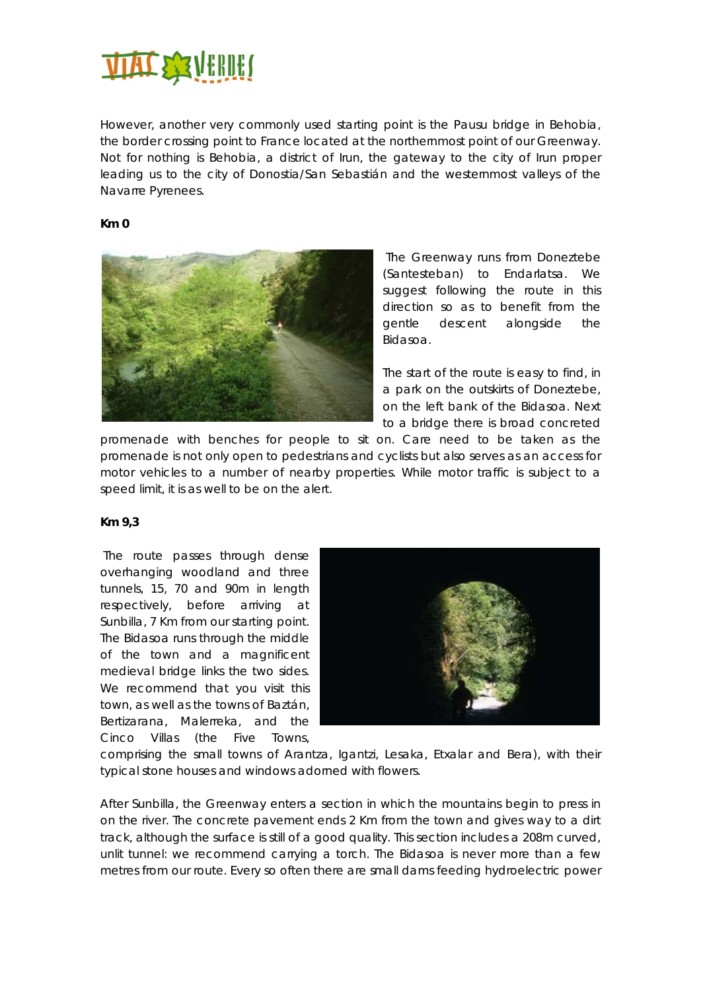

However, another very commonly used starting point is the Pausu bridge in Behobia, the border crossing point to France located at the northernmost point of our Greenway. Not for nothing is Behobia, a district of Irun, the gateway to the city of Irun proper leading us to the city of Donostia/San Sebastián and the westernmost valleys of the Navarre Pyrenees.

## **Km 0**



 The Greenway runs from Doneztebe (Santesteban) to Endarlatsa. We suggest following the route in this direction so as to benefit from the gentle descent alongside the Bidasoa.

The start of the route is easy to find, in a park on the outskirts of Doneztebe, on the left bank of the Bidasoa. Next to a bridge there is broad concreted

promenade with benches for people to sit on. Care need to be taken as the promenade is not only open to pedestrians and cyclists but also serves as an access for motor vehicles to a number of nearby properties. While motor traffic is subject to a speed limit, it is as well to be on the alert.

## **Km 9,3**

 The route passes through dense overhanging woodland and three tunnels, 15, 70 and 90m in length respectively, before arriving at Sunbilla, 7 Km from our starting point. The Bidasoa runs through the middle of the town and a magnificent medieval bridge links the two sides. We recommend that you visit this town, as well as the towns of Baztán, Bertizarana, Malerreka, and the Cinco Villas (the Five Towns,



comprising the small towns of Arantza, Igantzi, Lesaka, Etxalar and Bera), with their typical stone houses and windows adorned with flowers.

After Sunbilla, the Greenway enters a section in which the mountains begin to press in on the river. The concrete pavement ends 2 Km from the town and gives way to a dirt track, although the surface is still of a good quality. This section includes a 208m curved, unlit tunnel: we recommend carrying a torch. The Bidasoa is never more than a few metres from our route. Every so often there are small dams feeding hydroelectric power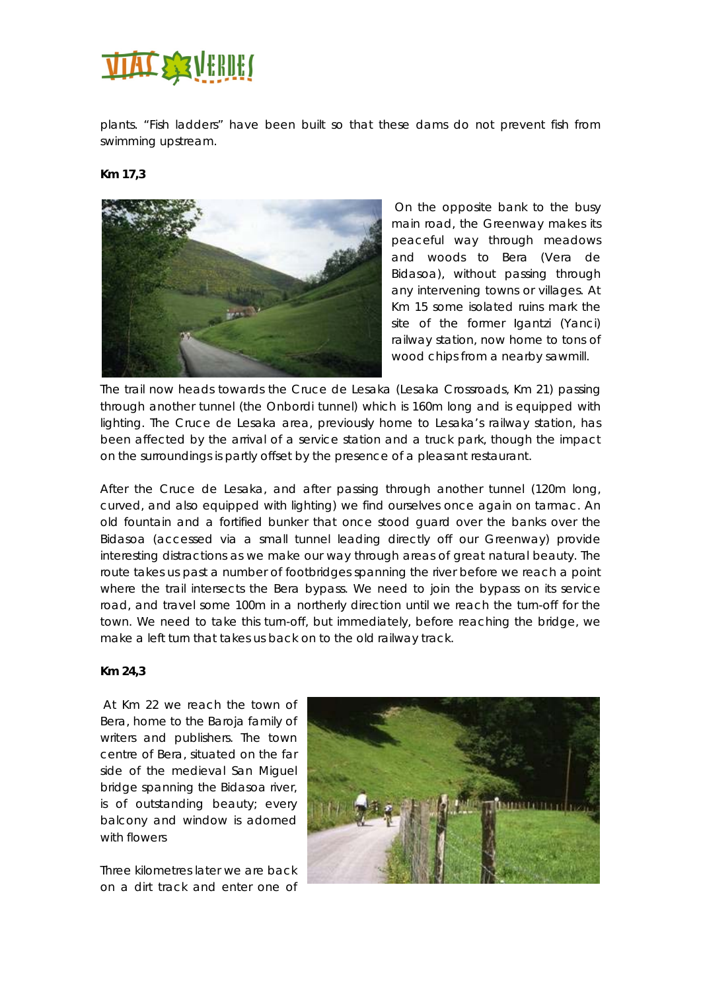

plants. "Fish ladders" have been built so that these dams do not prevent fish from swimming upstream.

## **Km 17,3**



 On the opposite bank to the busy main road, the Greenway makes its peaceful way through meadows and woods to Bera (Vera de Bidasoa), without passing through any intervening towns or villages. At Km 15 some isolated ruins mark the site of the former Igantzi (Yanci) railway station, now home to tons of wood chips from a nearby sawmill.

The trail now heads towards the Cruce de Lesaka (Lesaka Crossroads, Km 21) passing through another tunnel (the Onbordi tunnel) which is 160m long and is equipped with lighting. The Cruce de Lesaka area, previously home to Lesaka's railway station, has been affected by the arrival of a service station and a truck park, though the impact on the surroundings is partly offset by the presence of a pleasant restaurant.

After the Cruce de Lesaka, and after passing through another tunnel (120m long, curved, and also equipped with lighting) we find ourselves once again on tarmac. An old fountain and a fortified bunker that once stood guard over the banks over the Bidasoa (accessed via a small tunnel leading directly off our Greenway) provide interesting distractions as we make our way through areas of great natural beauty. The route takes us past a number of footbridges spanning the river before we reach a point where the trail intersects the Bera bypass. We need to join the bypass on its service road, and travel some 100m in a northerly direction until we reach the turn-off for the town. We need to take this turn-off, but immediately, before reaching the bridge, we make a left turn that takes us back on to the old railway track.

#### **Km 24,3**

 At Km 22 we reach the town of Bera, home to the Baroja family of writers and publishers. The town centre of Bera, situated on the far side of the medieval San Miguel bridge spanning the Bidasoa river, is of outstanding beauty; every balcony and window is adorned with flowers

Three kilometres later we are back on a dirt track and enter one of

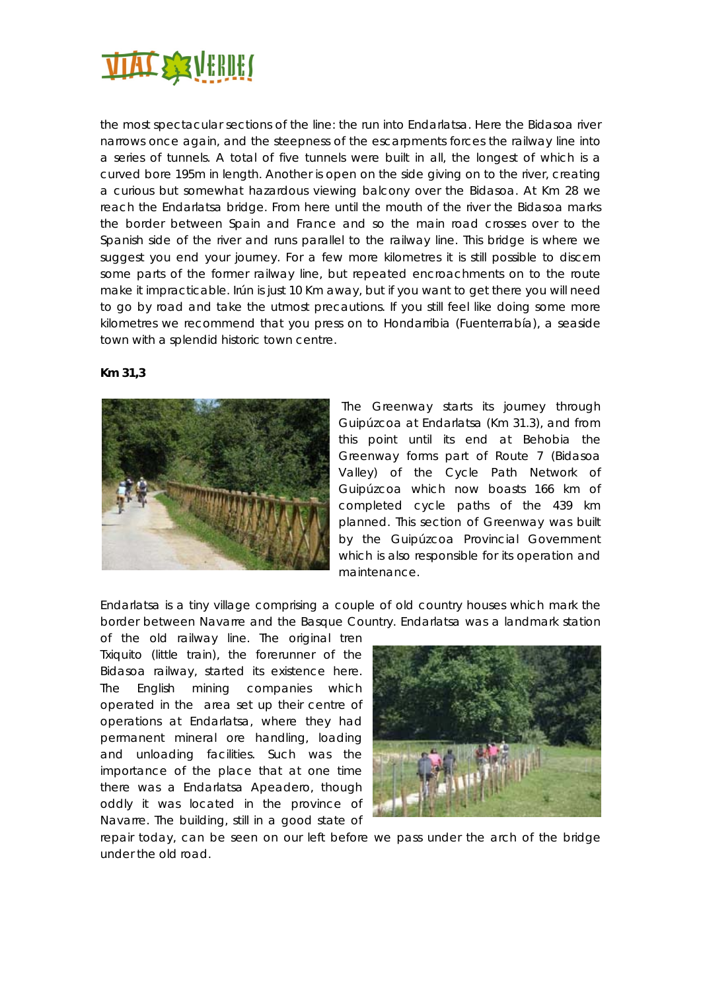

the most spectacular sections of the line: the run into Endarlatsa. Here the Bidasoa river narrows once again, and the steepness of the escarpments forces the railway line into a series of tunnels. A total of five tunnels were built in all, the longest of which is a curved bore 195m in length. Another is open on the side giving on to the river, creating a curious but somewhat hazardous viewing balcony over the Bidasoa. At Km 28 we reach the Endarlatsa bridge. From here until the mouth of the river the Bidasoa marks the border between Spain and France and so the main road crosses over to the Spanish side of the river and runs parallel to the railway line. This bridge is where we suggest you end your journey. For a few more kilometres it is still possible to discern some parts of the former railway line, but repeated encroachments on to the route make it impracticable. Irún is just 10 Km away, but if you want to get there you will need to go by road and take the utmost precautions. If you still feel like doing some more kilometres we recommend that you press on to Hondarribia (Fuenterrabía), a seaside town with a splendid historic town centre.





 The Greenway starts its journey through Guipúzcoa at Endarlatsa (Km 31.3), and from this point until its end at Behobia the Greenway forms part of Route 7 (Bidasoa Valley) of the Cycle Path Network of Guipúzcoa which now boasts 166 km of completed cycle paths of the 439 km planned. This section of Greenway was built by the Guipúzcoa Provincial Government which is also responsible for its operation and maintenance.

Endarlatsa is a tiny village comprising a couple of old country houses which mark the border between Navarre and the Basque Country. Endarlatsa was a landmark station

of the old railway line. The original tren Txiquito (little train), the forerunner of the Bidasoa railway, started its existence here. The English mining companies which operated in the area set up their centre of operations at Endarlatsa, where they had permanent mineral ore handling, loading and unloading facilities. Such was the importance of the place that at one time there was a Endarlatsa Apeadero, though oddly it was located in the province of Navarre. The building, still in a good state of



repair today, can be seen on our left before we pass under the arch of the bridge under the old road.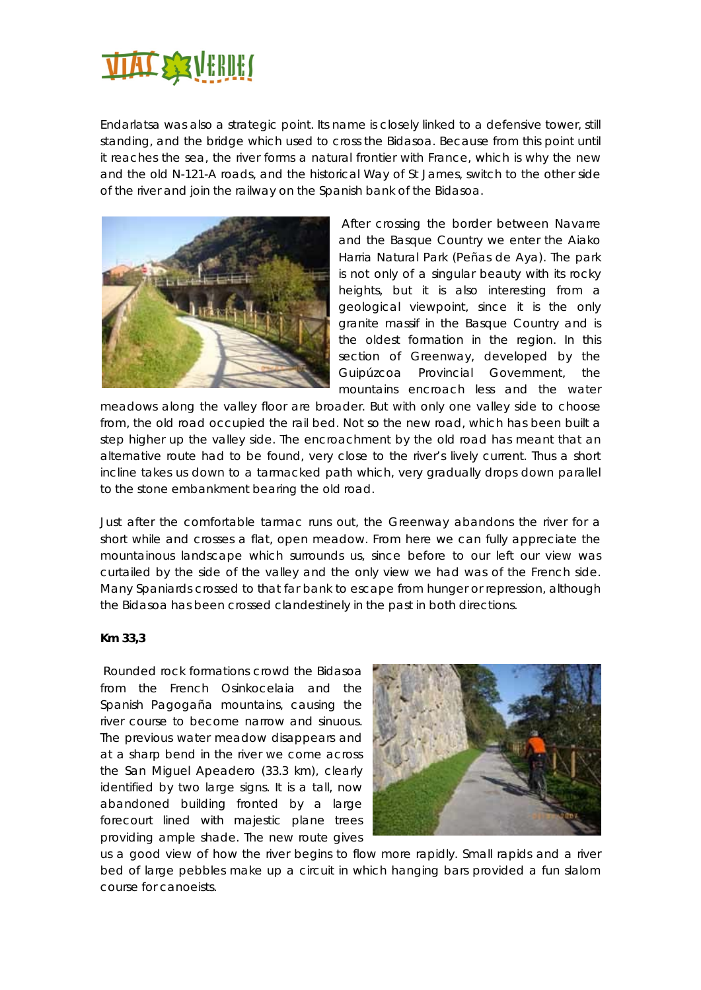

Endarlatsa was also a strategic point. Its name is closely linked to a defensive tower, still standing, and the bridge which used to cross the Bidasoa. Because from this point until it reaches the sea, the river forms a natural frontier with France, which is why the new and the old N-121-A roads, and the historical Way of St James, switch to the other side of the river and join the railway on the Spanish bank of the Bidasoa.



 After crossing the border between Navarre and the Basque Country we enter the Aiako Harria Natural Park (Peñas de Aya). The park is not only of a singular beauty with its rocky heights, but it is also interesting from a geological viewpoint, since it is the only granite massif in the Basque Country and is the oldest formation in the region. In this section of Greenway, developed by the Guipúzcoa Provincial Government, the mountains encroach less and the water

meadows along the valley floor are broader. But with only one valley side to choose from, the old road occupied the rail bed. Not so the new road, which has been built a step higher up the valley side. The encroachment by the old road has meant that an alternative route had to be found, very close to the river's lively current. Thus a short incline takes us down to a tarmacked path which, very gradually drops down parallel to the stone embankment bearing the old road.

Just after the comfortable tarmac runs out, the Greenway abandons the river for a short while and crosses a flat, open meadow. From here we can fully appreciate the mountainous landscape which surrounds us, since before to our left our view was curtailed by the side of the valley and the only view we had was of the French side. Many Spaniards crossed to that far bank to escape from hunger or repression, although the Bidasoa has been crossed clandestinely in the past in both directions.

## **Km 33,3**

 Rounded rock formations crowd the Bidasoa from the French Osinkocelaia and the Spanish Pagogaña mountains, causing the river course to become narrow and sinuous. The previous water meadow disappears and at a sharp bend in the river we come across the San Miguel Apeadero (33.3 km), clearly identified by two large signs. It is a tall, now abandoned building fronted by a large forecourt lined with majestic plane trees providing ample shade. The new route gives



us a good view of how the river begins to flow more rapidly. Small rapids and a river bed of large pebbles make up a circuit in which hanging bars provided a fun slalom course for canoeists.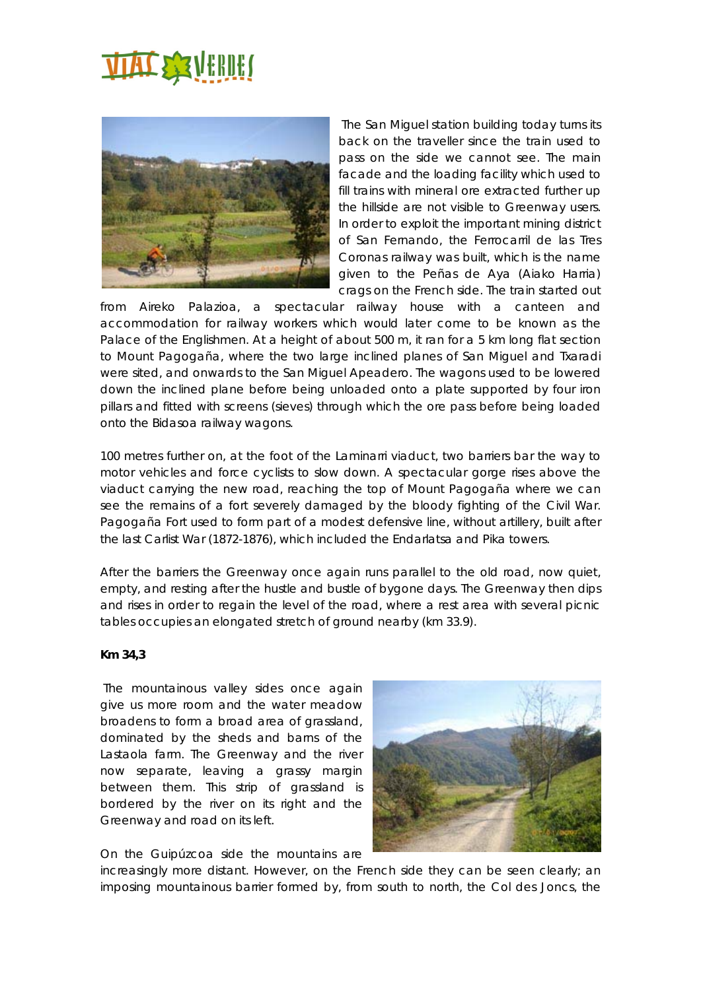# **TIAT SEVERIE!**



 The San Miguel station building today turns its back on the traveller since the train used to pass on the side we cannot see. The main facade and the loading facility which used to fill trains with mineral ore extracted further up the hillside are not visible to Greenway users. In order to exploit the important mining district of San Fernando, the Ferrocarril de las Tres Coronas railway was built, which is the name given to the Peñas de Aya (Aiako Harria) crags on the French side. The train started out

from Aireko Palazioa, a spectacular railway house with a canteen and accommodation for railway workers which would later come to be known as the Palace of the Englishmen. At a height of about 500 m, it ran for a 5 km long flat section to Mount Pagogaña, where the two large inclined planes of San Miguel and Txaradi were sited, and onwards to the San Miguel Apeadero. The wagons used to be lowered down the inclined plane before being unloaded onto a plate supported by four iron pillars and fitted with screens (sieves) through which the ore pass before being loaded onto the Bidasoa railway wagons.

100 metres further on, at the foot of the Laminarri viaduct, two barriers bar the way to motor vehicles and force cyclists to slow down. A spectacular gorge rises above the viaduct carrying the new road, reaching the top of Mount Pagogaña where we can see the remains of a fort severely damaged by the bloody fighting of the Civil War. Pagogaña Fort used to form part of a modest defensive line, without artillery, built after the last Carlist War (1872-1876), which included the Endarlatsa and Pika towers.

After the barriers the Greenway once again runs parallel to the old road, now quiet, empty, and resting after the hustle and bustle of bygone days. The Greenway then dips and rises in order to regain the level of the road, where a rest area with several picnic tables occupies an elongated stretch of ground nearby (km 33.9).

## **Km 34,3**

 The mountainous valley sides once again give us more room and the water meadow broadens to form a broad area of grassland, dominated by the sheds and barns of the Lastaola farm. The Greenway and the river now separate, leaving a grassy margin between them. This strip of grassland is bordered by the river on its right and the Greenway and road on its left.



On the Guipúzcoa side the mountains are

increasingly more distant. However, on the French side they can be seen clearly; an imposing mountainous barrier formed by, from south to north, the Col des Joncs, the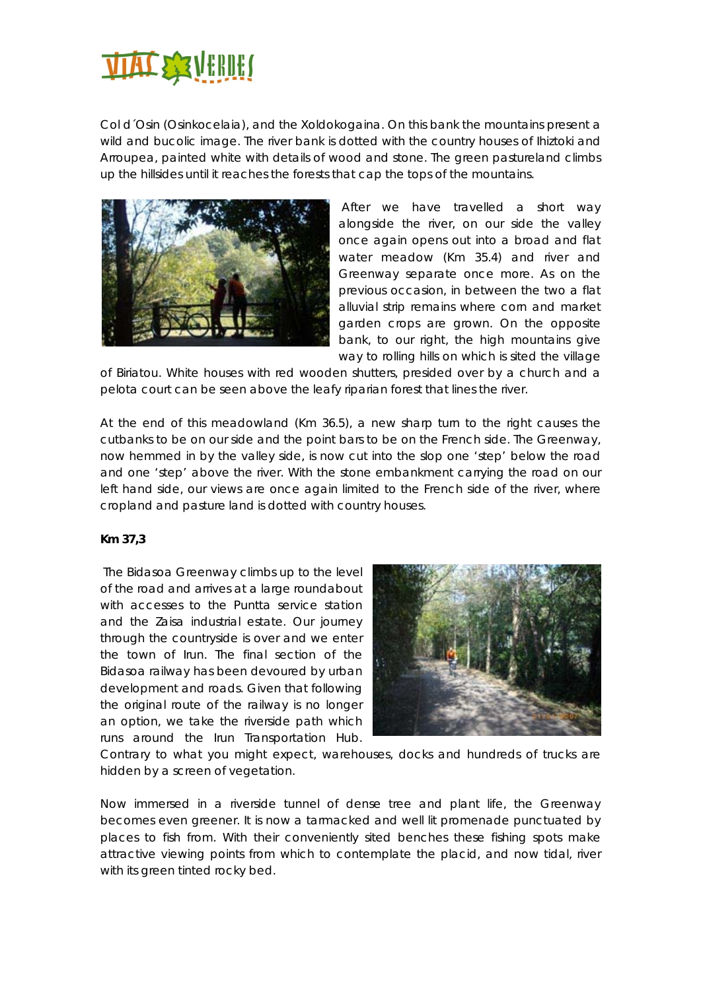

Col d´Osin (Osinkocelaia), and the Xoldokogaina. On this bank the mountains present a wild and bucolic image. The river bank is dotted with the country houses of Ihiztoki and Arroupea, painted white with details of wood and stone. The green pastureland climbs up the hillsides until it reaches the forests that cap the tops of the mountains.



 After we have travelled a short way alongside the river, on our side the valley once again opens out into a broad and flat water meadow (Km 35.4) and river and Greenway separate once more. As on the previous occasion, in between the two a flat alluvial strip remains where corn and market garden crops are grown. On the opposite bank, to our right, the high mountains give way to rolling hills on which is sited the village

of Biriatou. White houses with red wooden shutters, presided over by a church and a pelota court can be seen above the leafy riparian forest that lines the river.

At the end of this meadowland (Km 36.5), a new sharp turn to the right causes the cutbanks to be on our side and the point bars to be on the French side. The Greenway, now hemmed in by the valley side, is now cut into the slop one 'step' below the road and one 'step' above the river. With the stone embankment carrying the road on our left hand side, our views are once again limited to the French side of the river, where cropland and pasture land is dotted with country houses.

## **Km 37,3**

 The Bidasoa Greenway climbs up to the level of the road and arrives at a large roundabout with accesses to the Puntta service station and the Zaisa industrial estate. Our journey through the countryside is over and we enter the town of Irun. The final section of the Bidasoa railway has been devoured by urban development and roads. Given that following the original route of the railway is no longer an option, we take the riverside path which runs around the Irun Transportation Hub.



Contrary to what you might expect, warehouses, docks and hundreds of trucks are hidden by a screen of vegetation.

Now immersed in a riverside tunnel of dense tree and plant life, the Greenway becomes even greener. It is now a tarmacked and well lit promenade punctuated by places to fish from. With their conveniently sited benches these fishing spots make attractive viewing points from which to contemplate the placid, and now tidal, river with its green tinted rocky bed.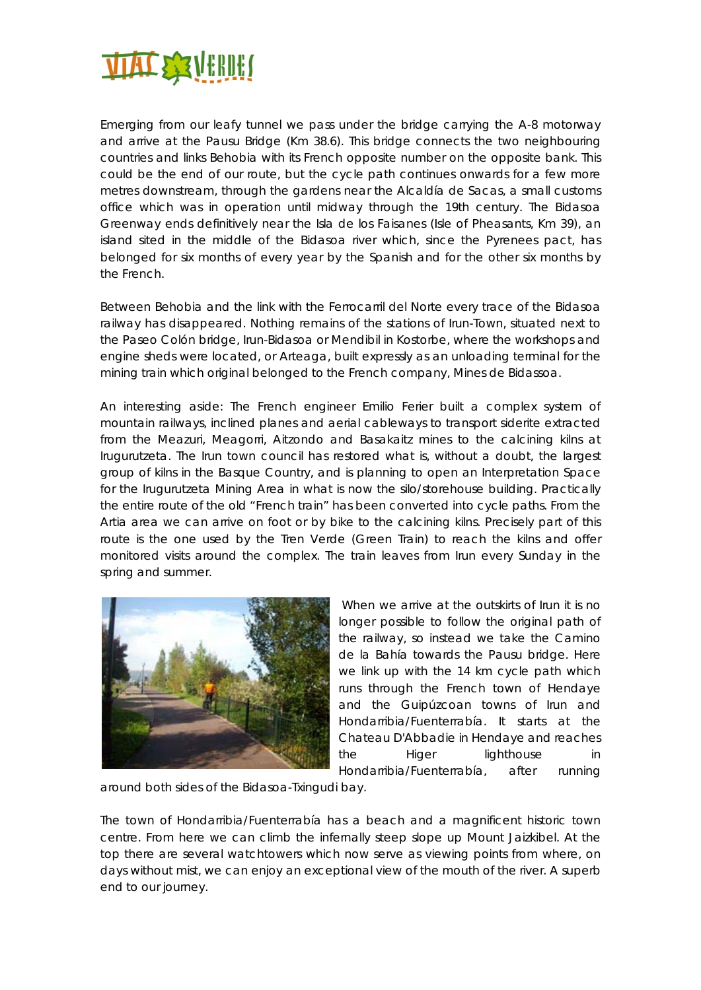

Emerging from our leafy tunnel we pass under the bridge carrying the A-8 motorway and arrive at the Pausu Bridge (Km 38.6). This bridge connects the two neighbouring countries and links Behobia with its French opposite number on the opposite bank. This could be the end of our route, but the cycle path continues onwards for a few more metres downstream, through the gardens near the Alcaldía de Sacas, a small customs office which was in operation until midway through the 19th century. The Bidasoa Greenway ends definitively near the Isla de los Faisanes (Isle of Pheasants, Km 39), an island sited in the middle of the Bidasoa river which, since the Pyrenees pact, has belonged for six months of every year by the Spanish and for the other six months by the French.

Between Behobia and the link with the Ferrocarril del Norte every trace of the Bidasoa railway has disappeared. Nothing remains of the stations of Irun-Town, situated next to the Paseo Colón bridge, Irun-Bidasoa or Mendibil in Kostorbe, where the workshops and engine sheds were located, or Arteaga, built expressly as an unloading terminal for the mining train which original belonged to the French company, Mines de Bidassoa.

An interesting aside: The French engineer Emilio Ferier built a complex system of mountain railways, inclined planes and aerial cableways to transport siderite extracted from the Meazuri, Meagorri, Aitzondo and Basakaitz mines to the calcining kilns at Irugurutzeta. The Irun town council has restored what is, without a doubt, the largest group of kilns in the Basque Country, and is planning to open an Interpretation Space for the Irugurutzeta Mining Area in what is now the silo/storehouse building. Practically the entire route of the old "French train" has been converted into cycle paths. From the Artia area we can arrive on foot or by bike to the calcining kilns. Precisely part of this route is the one used by the Tren Verde (Green Train) to reach the kilns and offer monitored visits around the complex. The train leaves from Irun every Sunday in the spring and summer.



When we arrive at the outskirts of Irun it is no longer possible to follow the original path of the railway, so instead we take the Camino de la Bahía towards the Pausu bridge. Here we link up with the 14 km cycle path which runs through the French town of Hendaye and the Guipúzcoan towns of Irun and Hondarribia/Fuenterrabía. It starts at the Chateau D'Abbadie in Hendaye and reaches the Higer lighthouse in Hondarribia/Fuenterrabía, after running

around both sides of the Bidasoa-Txingudi bay.

The town of Hondarribia/Fuenterrabía has a beach and a magnificent historic town centre. From here we can climb the infernally steep slope up Mount Jaizkibel. At the top there are several watchtowers which now serve as viewing points from where, on days without mist, we can enjoy an exceptional view of the mouth of the river. A superb end to our journey.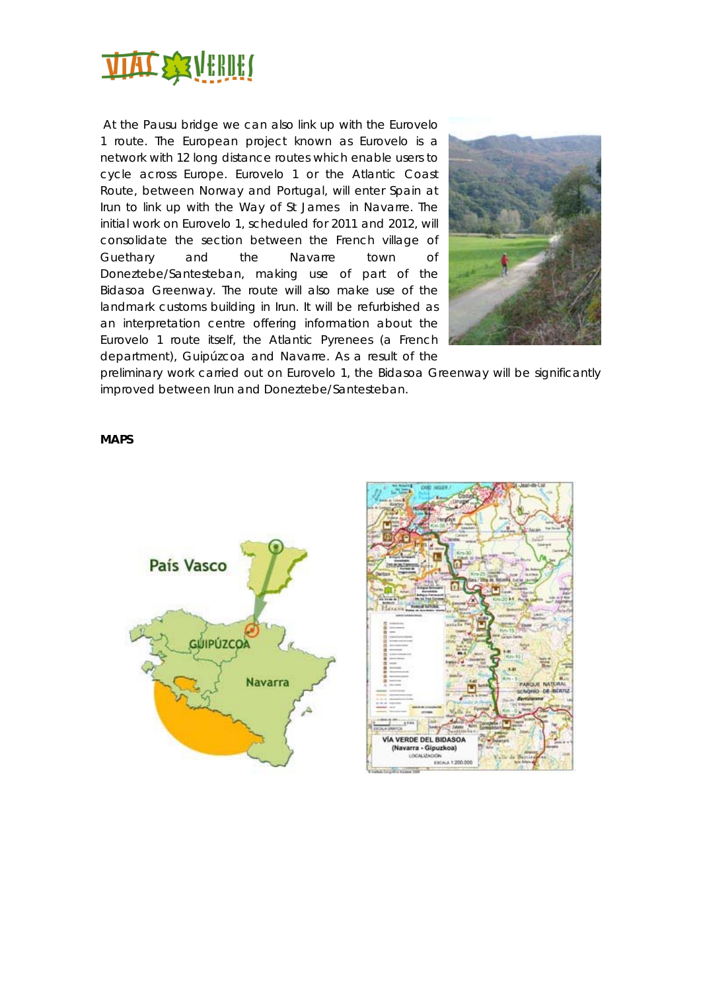

 At the Pausu bridge we can also link up with the Eurovelo 1 route. The European project known as Eurovelo is a network with 12 long distance routes which enable users to cycle across Europe. Eurovelo 1 or the Atlantic Coast Route, between Norway and Portugal, will enter Spain at Irun to link up with the Way of St James in Navarre. The initial work on Eurovelo 1, scheduled for 2011 and 2012, will consolidate the section between the French village of Guethary and the Navarre town of Doneztebe/Santesteban, making use of part of the Bidasoa Greenway. The route will also make use of the landmark customs building in Irun. It will be refurbished as an interpretation centre offering information about the Eurovelo 1 route itself, the Atlantic Pyrenees (a French department), Guipúzcoa and Navarre. As a result of the



preliminary work carried out on Eurovelo 1, the Bidasoa Greenway will be significantly improved between Irun and Doneztebe/Santesteban.

#### **MAPS**



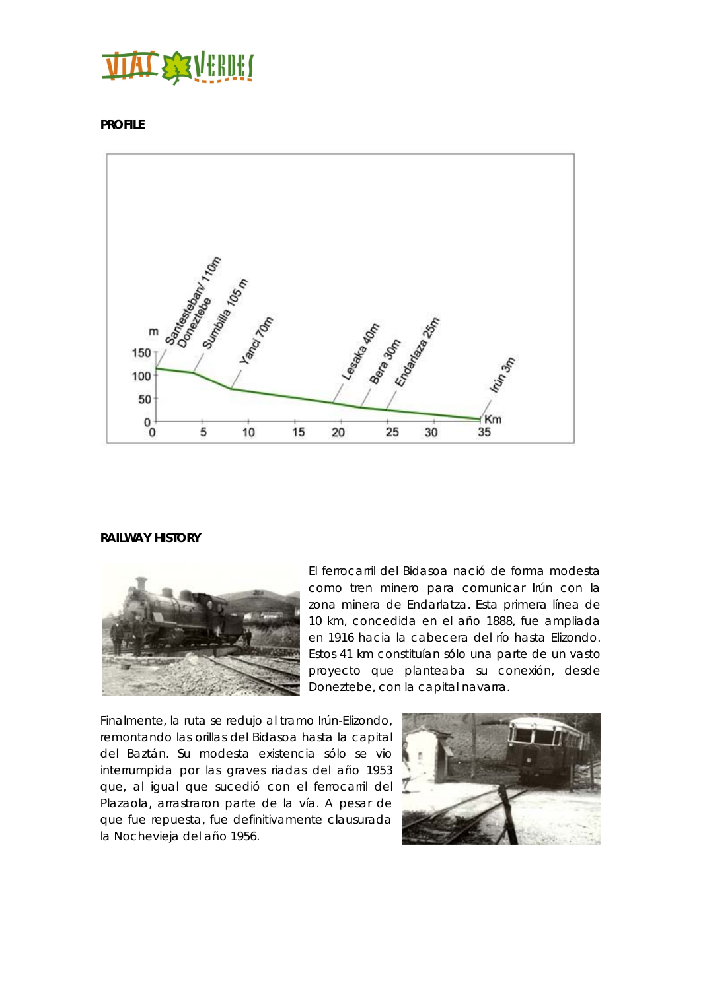## **TITT SEATHERS**

**PROFILE** 



## **RAILWAY HISTORY**



El ferrocarril del Bidasoa nació de forma modesta como tren minero para comunicar Irún con la zona minera de Endarlatza. Esta primera línea de 10 km, concedida en el año 1888, fue ampliada en 1916 hacia la cabecera del río hasta Elizondo. Estos 41 km constituían sólo una parte de un vasto proyecto que planteaba su conexión, desde Doneztebe, con la capital navarra.

Finalmente, la ruta se redujo al tramo Irún-Elizondo, remontando las orillas del Bidasoa hasta la capital del Baztán. Su modesta existencia sólo se vio interrumpida por las graves riadas del año 1953 que, al igual que sucedió con el ferrocarril del Plazaola, arrastraron parte de la vía. A pesar de que fue repuesta, fue definitivamente clausurada la Nochevieja del año 1956.

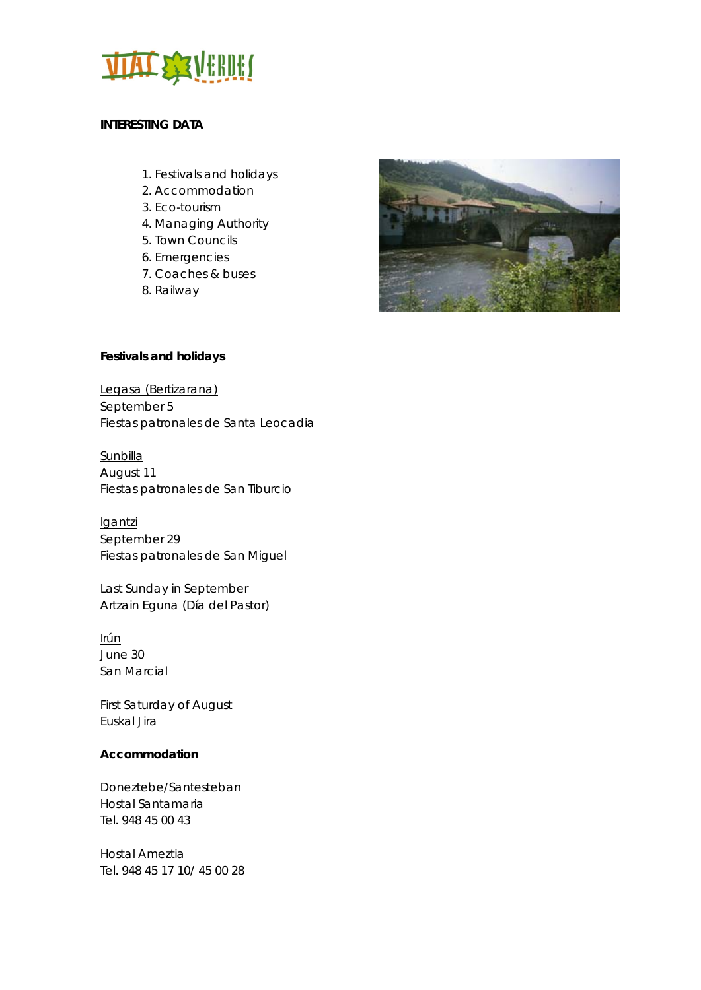

## **INTERESTING DATA**

- 1. Festivals and holidays
- 2. Accommodation
- 3. Eco-tourism
- 4. Managing Authority
- 5. Town Councils
- 6. Emergencies
- 7. Coaches & buses
- 8. Railway



## **Festivals and holidays**

Legasa (Bertizarana) September 5 Fiestas patronales de Santa Leocadia

**Sunbilla** August 11 Fiestas patronales de San Tiburcio

**Igantzi** September 29 Fiestas patronales de San Miguel

Last Sunday in September Artzain Eguna (Día del Pastor)

Irún June 30 San Marcial

First Saturday of August Euskal Jira

## **Accommodation**

Doneztebe/Santesteban Hostal Santamaria Tel. 948 45 00 43

Hostal Ameztia Tel. 948 45 17 10/ 45 00 28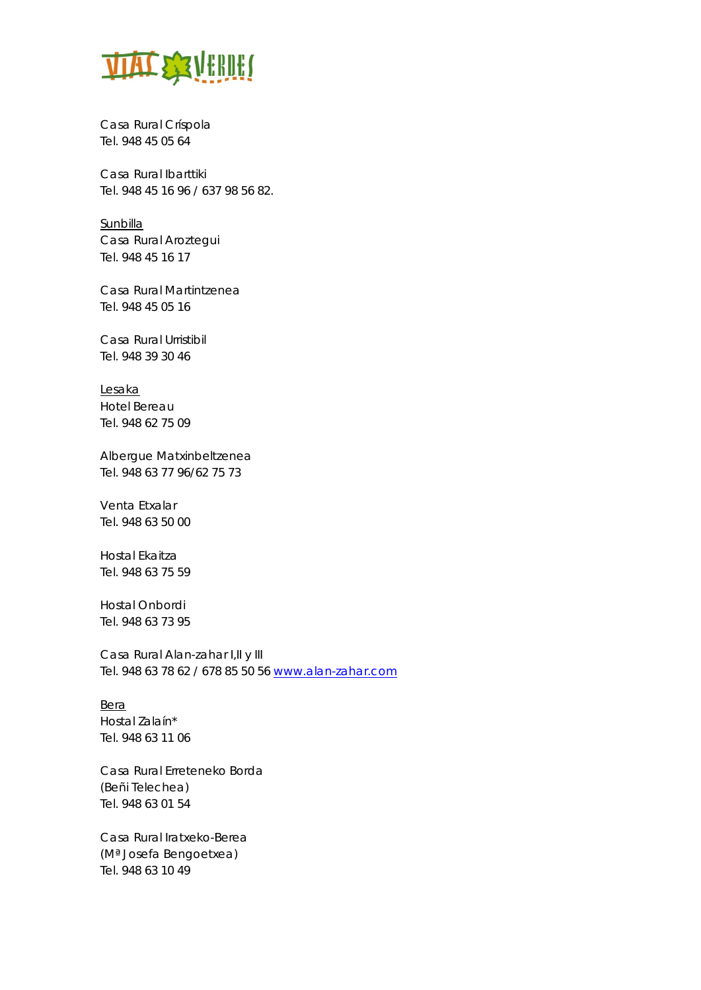

Casa Rural Críspola Tel. 948 45 05 64

Casa Rural Ibarttiki Tel. 948 45 16 96 / 637 98 56 82.

**Sunbilla** Casa Rural Aroztegui Tel. 948 45 16 17

Casa Rural Martintzenea Tel. 948 45 05 16

Casa Rural Urristibil Tel. 948 39 30 46

Lesaka Hotel Bereau Tel. 948 62 75 09

Albergue Matxinbeltzenea Tel. 948 63 77 96/62 75 73

Venta Etxalar Tel. 948 63 50 00

Hostal Ekaitza Tel. 948 63 75 59

Hostal Onbordi Tel. 948 63 73 95

Casa Rural Alan-zahar I,II y III Tel. 948 63 78 62 / 678 85 50 56 www.alan-zahar.com

Bera Hostal Zalaín\* Tel. 948 63 11 06

Casa Rural Erreteneko Borda (Beñi Telechea) Tel. 948 63 01 54

Casa Rural Iratxeko-Berea (Mª Josefa Bengoetxea) Tel. 948 63 10 49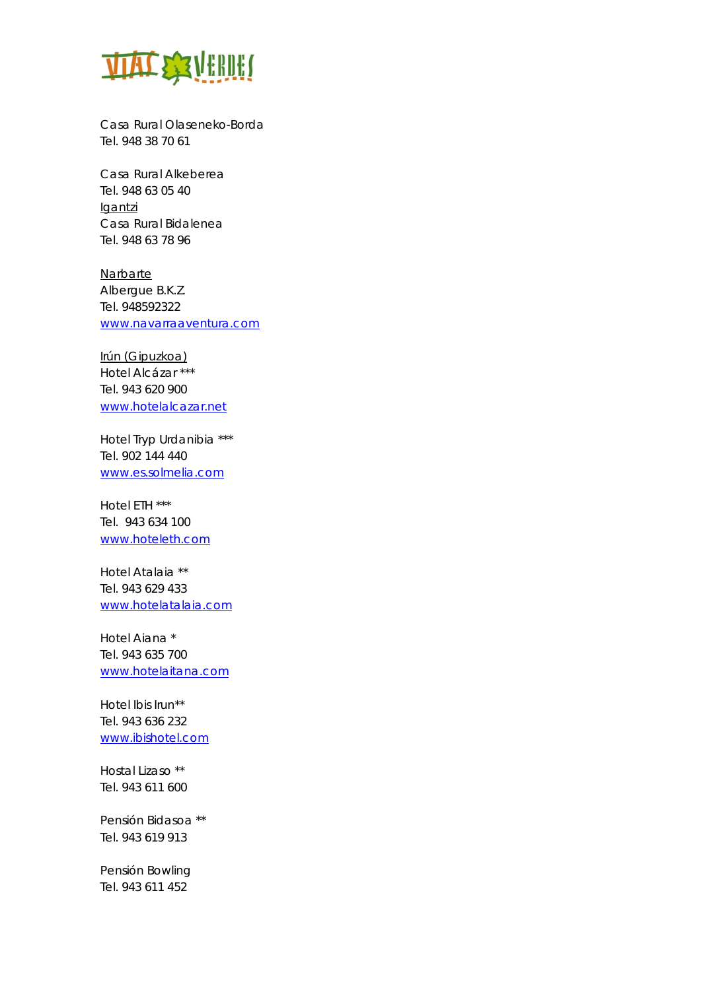

Casa Rural Olaseneko-Borda Tel. 948 38 70 61

Casa Rural Alkeberea Tel. 948 63 05 40 Igantzi Casa Rural Bidalenea Tel. 948 63 78 96

Narbarte Albergue B.K.Z. Tel. 948592322 www.navarraaventura.com

Irún (Gipuzkoa) Hotel Alcázar \*\*\* Tel. 943 620 900 www.hotelalcazar.net

Hotel Tryp Urdanibia \*\*\* Tel. 902 144 440 www.es.solmelia.com

Hotel ETH \*\*\* Tel. 943 634 100 www.hoteleth.com

Hotel Atalaia \*\* Tel. 943 629 433 www.hotelatalaia.com

Hotel Aiana \* Tel. 943 635 700 www.hotelaitana.com

Hotel Ibis Irun\*\* Tel. 943 636 232 www.ibishotel.com

Hostal Lizaso \*\* Tel. 943 611 600

Pensión Bidasoa \*\* Tel. 943 619 913

Pensión Bowling Tel. 943 611 452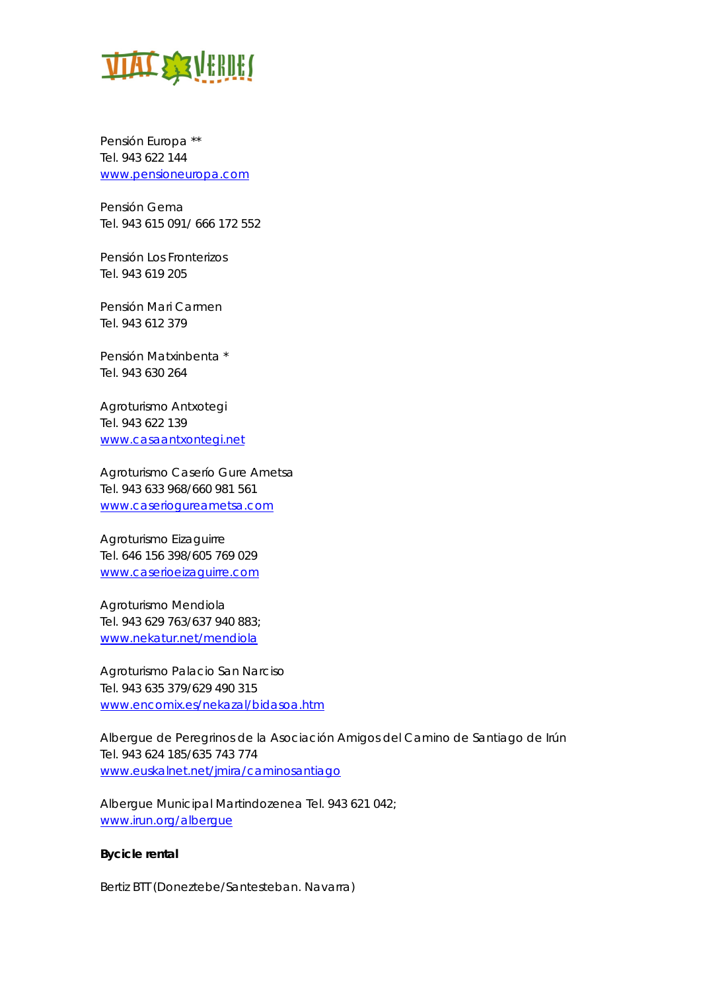

Pensión Europa \*\* Tel. 943 622 144 www.pensioneuropa.com

Pensión Gema Tel. 943 615 091/ 666 172 552

Pensión Los Fronterizos Tel. 943 619 205

Pensión Mari Carmen Tel. 943 612 379

Pensión Matxinbenta \* Tel. 943 630 264

Agroturismo Antxotegi Tel. 943 622 139 www.casaantxontegi.net

Agroturismo Caserío Gure Ametsa Tel. 943 633 968/660 981 561 www.caseriogureametsa.com

Agroturismo Eizaguirre Tel. 646 156 398/605 769 029 www.caserioeizaguirre.com

Agroturismo Mendiola Tel. 943 629 763/637 940 883; www.nekatur.net/mendiola

Agroturismo Palacio San Narciso Tel. 943 635 379/629 490 315 www.encomix.es/nekazal/bidasoa.htm

Albergue de Peregrinos de la Asociación Amigos del Camino de Santiago de Irún Tel. 943 624 185/635 743 774 www.euskalnet.net/jmira/caminosantiago

Albergue Municipal Martindozenea Tel. 943 621 042; www.irun.org/albergue

### **Bycicle rental**

Bertiz BTT (Doneztebe/Santesteban. Navarra)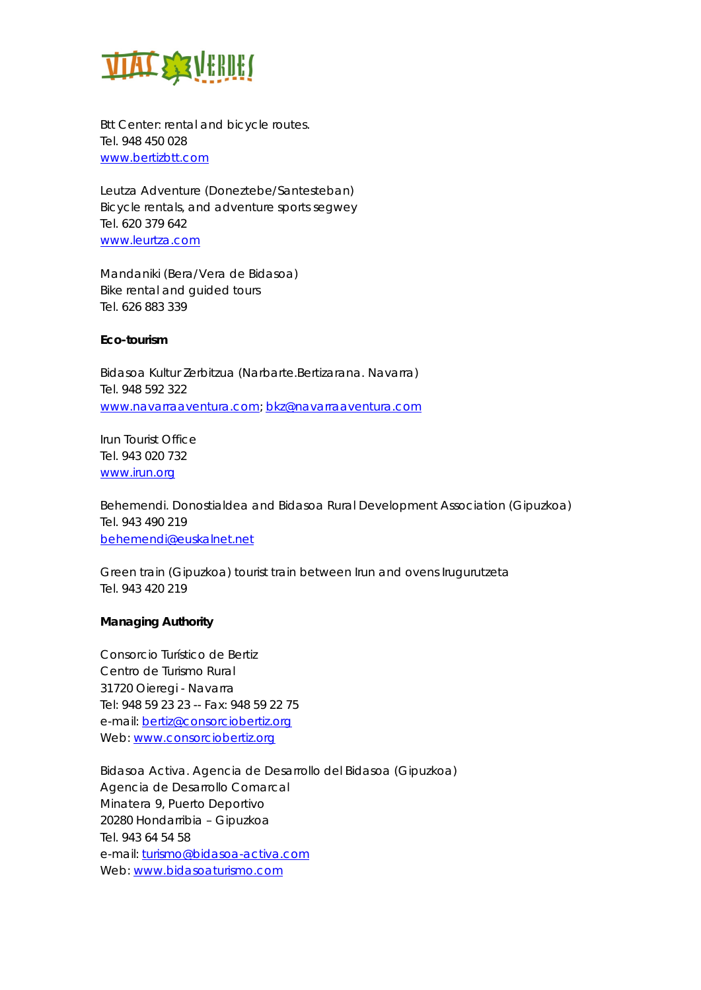

Btt Center: rental and bicycle routes. Tel. 948 450 028 www.bertizbtt.com

Leutza Adventure (Doneztebe/Santesteban) Bicycle rentals, and adventure sports segwey Tel. 620 379 642 www.leurtza.com

Mandaniki (Bera/Vera de Bidasoa) Bike rental and guided tours Tel. 626 883 339

## **Eco-tourism**

Bidasoa Kultur Zerbitzua (Narbarte.Bertizarana. Navarra) Tel. 948 592 322 www.navarraaventura.com; bkz@navarraaventura.com

Irun Tourist Office Tel. 943 020 732 www.irun.org

Behemendi. Donostialdea and Bidasoa Rural Development Association (Gipuzkoa) Tel. 943 490 219 behemendi@euskalnet.net

Green train (Gipuzkoa) tourist train between Irun and ovens Irugurutzeta Tel. 943 420 219

## **Managing Authority**

Consorcio Turístico de Bertiz Centro de Turismo Rural 31720 Oieregi - Navarra Tel: 948 59 23 23 -- Fax: 948 59 22 75 e-mail: bertiz@consorciobertiz.org Web: www.consorciobertiz.org

Bidasoa Activa. Agencia de Desarrollo del Bidasoa (Gipuzkoa) Agencia de Desarrollo Comarcal Minatera 9, Puerto Deportivo 20280 Hondarribia – Gipuzkoa Tel. 943 64 54 58 e-mail: turismo@bidasoa-activa.com Web: www.bidasoaturismo.com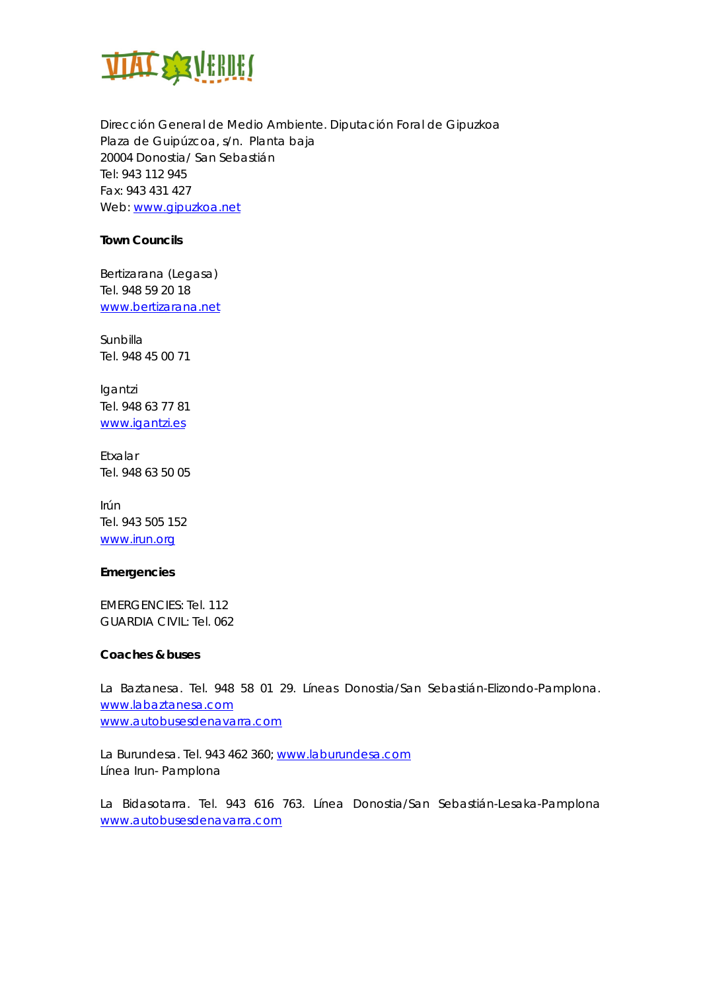

Dirección General de Medio Ambiente. Diputación Foral de Gipuzkoa Plaza de Guipúzcoa, s/n. Planta baja 20004 Donostia/ San Sebastián Tel: 943 112 945 Fax: 943 431 427 Web: www.gipuzkoa.net

## **Town Councils**

Bertizarana (Legasa) Tel. 948 59 20 18 www.bertizarana.net

**Sunbilla** Tel. 948 45 00 71

Igantzi Tel. 948 63 77 81 www.igantzi.es

Etxalar Tel. 948 63 50 05

Irún Tel. 943 505 152 www.irun.org

## **Emergencies**

EMERGENCIES: Tel. 112 GUARDIA CIVIL: Tel. 062

## **Coaches & buses**

La Baztanesa. Tel. 948 58 01 29. Líneas Donostia/San Sebastián-Elizondo-Pamplona. www.labaztanesa.com www.autobusesdenavarra.com

La Burundesa. Tel. 943 462 360; www.laburundesa.com Línea Irun- Pamplona

La Bidasotarra. Tel. 943 616 763. Línea Donostia/San Sebastián-Lesaka-Pamplona www.autobusesdenavarra.com